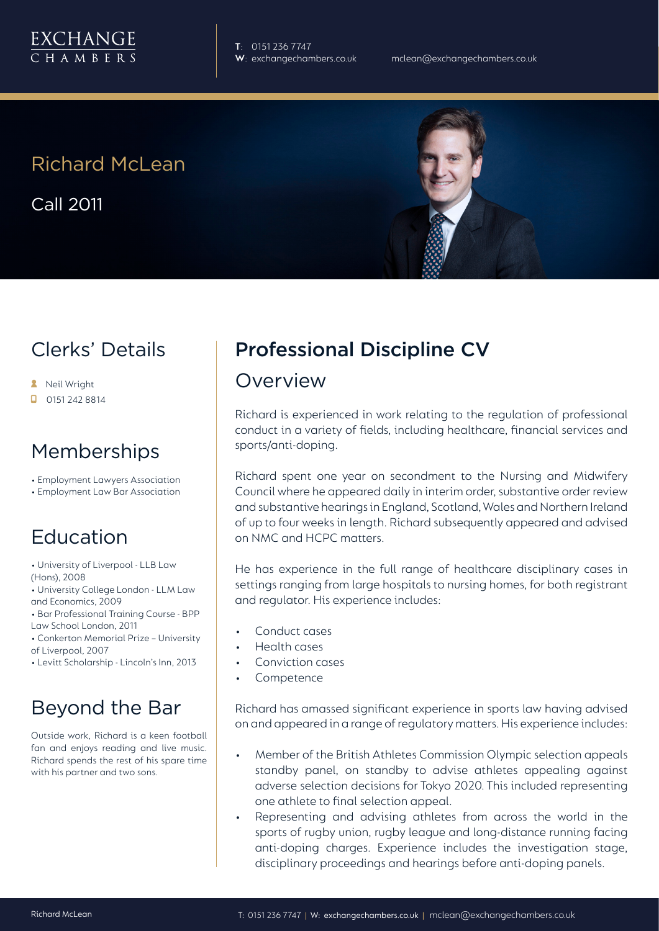

**T**: 0151 236 7747

# Richard McLean

Call 2011



### Clerks' Details

- **A** Neil Wright
- $\Box$  0151 242 8814

#### Memberships

- Employment Lawyers Association
- Employment Law Bar Association

## Education

- University of Liverpool LLB Law (Hons), 2008
- University College London LLM Law and Economics, 2009
- Bar Professional Training Course BPP Law School London, 2011
- Conkerton Memorial Prize University of Liverpool, 2007
- Levitt Scholarship Lincoln's Inn, 2013

## Beyond the Bar

Outside work, Richard is a keen football fan and enjoys reading and live music. Richard spends the rest of his spare time with his partner and two sons.

# Professional Discipline CV

#### Overview

Richard is experienced in work relating to the regulation of professional conduct in a variety of fields, including healthcare, financial services and sports/anti-doping.

Richard spent one year on secondment to the Nursing and Midwifery Council where he appeared daily in interim order, substantive order review and substantive hearings in England, Scotland, Wales and Northern Ireland of up to four weeks in length. Richard subsequently appeared and advised on NMC and HCPC matters.

He has experience in the full range of healthcare disciplinary cases in settings ranging from large hospitals to nursing homes, for both registrant and regulator. His experience includes:

- Conduct cases
- Health cases
- Conviction cases
- **Competence**

Richard has amassed significant experience in sports law having advised on and appeared in a range of regulatory matters. His experience includes:

- Member of the British Athletes Commission Olympic selection appeals standby panel, on standby to advise athletes appealing against adverse selection decisions for Tokyo 2020. This included representing one athlete to final selection appeal.
- Representing and advising athletes from across the world in the sports of rugby union, rugby league and long-distance running facing anti-doping charges. Experience includes the investigation stage, disciplinary proceedings and hearings before anti-doping panels.